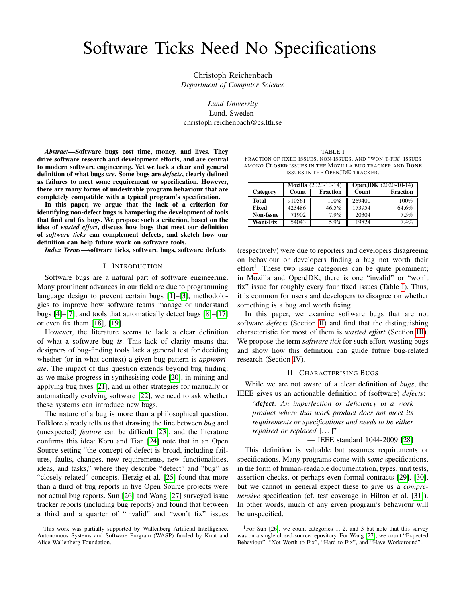# Software Ticks Need No Specifications

Christoph Reichenbach *Department of Computer Science*

*Lund University* Lund, Sweden christoph.reichenbach@cs.lth.se

*Abstract*—Software bugs cost time, money, and lives. They drive software research and development efforts, and are central to modern software engineering. Yet we lack a clear and general definition of what bugs *are*. Some bugs are *defects*, clearly defined as failures to meet some requirement or specification. However, there are many forms of undesirable program behaviour that are completely compatible with a typical program's specification.

In this paper, we argue that the lack of a criterion for identifying non-defect bugs is hampering the development of tools that find and fix bugs. We propose such a criterion, based on the idea of *wasted effort*, discuss how bugs that meet our definition of *software ticks* can complement defects, and sketch how our definition can help future work on software tools.

*Index Terms*—software ticks, software bugs, software defects

## I. INTRODUCTION

Software bugs are a natural part of software engineering. Many prominent advances in our field are due to programming language design to prevent certain bugs [\[1\]](#page-4-0)–[\[3\]](#page-4-1), methodologies to improve how software teams manage or understand bugs [\[4\]](#page-4-2)–[\[7\]](#page-4-3), and tools that automatically detect bugs [\[8\]](#page-4-4)–[\[17\]](#page-4-5) or even fix them [\[18\]](#page-4-6), [\[19\]](#page-4-7).

However, the literature seems to lack a clear definition of what a software bug *is*. This lack of clarity means that designers of bug-finding tools lack a general test for deciding whether (or in what context) a given bug pattern is *appropriate*. The impact of this question extends beyond bug finding: as we make progress in synthesising code [\[20\]](#page-4-8), in mining and applying bug fixes [\[21\]](#page-4-9), and in other strategies for manually or automatically evolving software [\[22\]](#page-4-10), we need to ask whether these systems can introduce new bugs.

The nature of a bug is more than a philosophical question. Folklore already tells us that drawing the line between *bug* and (unexpected) *feature* can be difficult [\[23\]](#page-4-11), and the literature confirms this idea: Koru and Tian [\[24\]](#page-4-12) note that in an Open Source setting "the concept of defect is broad, including failures, faults, changes, new requirements, new functionalities, ideas, and tasks," where they describe "defect" and "bug" as "closely related" concepts. Herzig et al. [\[25\]](#page-4-13) found that more than a third of bug reports in five Open Source projects were not actual bug reports. Sun [\[26\]](#page-4-14) and Wang [\[27\]](#page-4-15) surveyed issue tracker reports (including bug reports) and found that between a third and a quarter of "invalid" and "won't fix" issues

TABLE I

<span id="page-0-1"></span>FRACTION OF FIXED ISSUES, NON-ISSUES, AND "WON'T-FIX" ISSUES AMONG CLOSED ISSUES IN THE MOZILLA BUG TRACKER AND DONE ISSUES IN THE OPENJDK TRACKER.

|                  | <b>Mozilla</b> (2020-10-14) |                 | <b>Open, JDK</b> $(2020-10-14)$ |                 |
|------------------|-----------------------------|-----------------|---------------------------------|-----------------|
| Category         | Count                       | <b>Fraction</b> | Count                           | <b>Fraction</b> |
| <b>Total</b>     | 910561                      | 100%            | 269400                          | $100\%$         |
| Fixed            | 423486                      | 46.5%           | 173954                          | 64.6%           |
| <b>Non-Issue</b> | 71902                       | 7.9%            | 20304                           | 7.5%            |
| <b>Wont-Fix</b>  | 54043                       | 5.9%            | 19824                           | 7.4%            |

(respectively) were due to reporters and developers disagreeing on behaviour or developers finding a bug not worth their effort<sup>[1](#page-0-0)</sup>. These two issue categories can be quite prominent; in Mozilla and OpenJDK, there is one "invalid" or "won't fix" issue for roughly every four fixed issues (Table [I\)](#page-0-1). Thus, it is common for users and developers to disagree on whether something is a bug and worth fixing.

In this paper, we examine software bugs that are not software *defects* (Section [II\)](#page-0-2) and find that the distinguishing characteristic for most of them is *wasted effort* (Section [III\)](#page-2-0). We propose the term *software tick* for such effort-wasting bugs and show how this definition can guide future bug-related research (Section [IV\)](#page-3-0).

### II. CHARACTERISING BUGS

<span id="page-0-2"></span>While we are not aware of a clear definition of *bugs*, the IEEE gives us an actionable definition of (software) *defects*:

"*defect: An imperfection or deficiency in a work product where that work product does not meet its requirements or specifications and needs to be either repaired or replaced* [...]"

— IEEE standard 1044-2009 [\[28\]](#page-4-16)

This definition is valuable but assumes requirements or specifications. Many programs come with *some* specifications, in the form of human-readable documentation, types, unit tests, assertion checks, or perhaps even formal contracts [\[29\]](#page-4-17), [\[30\]](#page-4-18), but we cannot in general expect these to give us a *comprehensive* specification (cf. test coverage in Hilton et al. [\[31\]](#page-4-19)). In other words, much of any given program's behaviour will be unspecified.

This work was partially supported by Wallenberg Artificial Intelligence, Autonomous Systems and Software Program (WASP) funded by Knut and Alice Wallenberg Foundation.

<span id="page-0-0"></span><sup>&</sup>lt;sup>1</sup>For Sun [\[26\]](#page-4-14), we count categories 1, 2, and 3 but note that this survey was on a single closed-source repository. For Wang [\[27\]](#page-4-15), we count "Expected Behaviour", "Not Worth to Fix", "Hard to Fix", and "Have Workaround".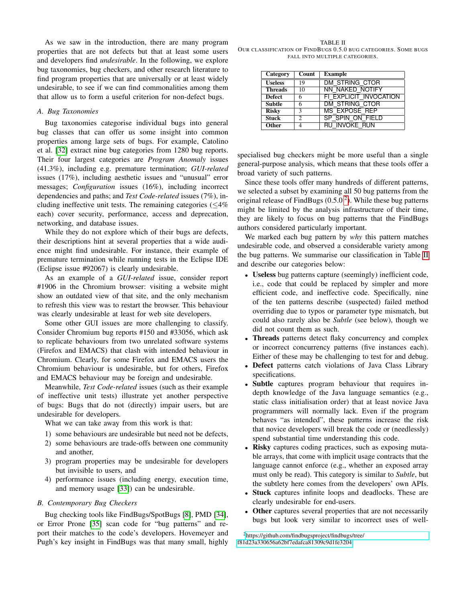As we saw in the introduction, there are many program properties that are not defects but that at least some users and developers find *undesirable*. In the following, we explore bug taxonomies, bug checkers, and other research literature to find program properties that are universally or at least widely undesirable, to see if we can find commonalities among them that allow us to form a useful criterion for non-defect bugs.

#### *A. Bug Taxonomies*

Bug taxonomies categorise individual bugs into general bug classes that can offer us some insight into common properties among large sets of bugs. For example, Catolino et al. [\[32\]](#page-4-20) extract nine bug categories from 1280 bug reports. Their four largest categories are *Program Anomaly* issues (41.3%), including e.g. premature termination; *GUI-related* issues (17%), including aesthetic issues and "unusual" error messages; *Configuration* issues (16%), including incorrect dependencies and paths; and *Test Code-related* issues (7%), including ineffective unit tests. The remaining categories ( $\leq$ 4%) each) cover security, performance, access and deprecation, networking, and database issues.

While they do not explore which of their bugs are defects, their descriptions hint at several properties that a wide audience might find undesirable. For instance, their example of premature termination while running tests in the Eclipse IDE (Eclipse issue #92067) is clearly undesirable.

As an example of a *GUI-related* issue, consider report #1906 in the Chromium browser: visiting a website might show an outdated view of that site, and the only mechanism to refresh this view was to restart the browser. This behaviour was clearly undesirable at least for web site developers.

Some other GUI issues are more challenging to classify. Consider Chromium bug reports #150 and #33056, which ask to replicate behaviours from two unrelated software systems (Firefox and EMACS) that clash with intended behaviour in Chromium. Clearly, for some Firefox and EMACS users the Chromium behaviour is undesirable, but for others, Firefox and EMACS behaviour may be foreign and undesirable.

Meanwhile, *Test Code-related* issues (such as their example of ineffective unit tests) illustrate yet another perspective of bugs: Bugs that do not (directly) impair users, but are undesirable for developers.

What we can take away from this work is that:

- 1) some behaviours are undesirable but need not be defects,
- 2) some behaviours are trade-offs between one community and another,
- 3) program properties may be undesirable for developers but invisible to users, and
- 4) performance issues (including energy, execution time, and memory usage [\[33\]](#page-4-21)) can be undesirable.

## <span id="page-1-2"></span>*B. Contemporary Bug Checkers*

Bug checking tools like FindBugs/SpotBugs [\[8\]](#page-4-4), PMD [\[34\]](#page-4-22), or Error Prone [\[35\]](#page-4-23) scan code for "bug patterns" and report their matches to the code's developers. Hovemeyer and Pugh's key insight in FindBugs was that many small, highly

<span id="page-1-1"></span>TABLE II OUR CLASSIFICATION OF FINDBUGS 0.5.0 BUG CATEGORIES. SOME BUGS FALL INTO MULTIPLE CATEGORIES.

| Category       | Count          | <b>Example</b>         |
|----------------|----------------|------------------------|
| <b>Useless</b> | 19             | DM STRING CTOR         |
| <b>Threads</b> | 10             | NN_NAKED_NOTIFY        |
| <b>Defect</b>  | 6              | FI EXPLICIT INVOCATION |
| <b>Subtle</b>  | 6              | DM STRING CTOR         |
| <b>Risky</b>   | 3              | MS_EXPOSE_REP          |
| <b>Stuck</b>   | $\mathfrak{D}$ | SP SPIN ON FIELD       |
| <b>Other</b>   | 4              | <b>RU INVOKE RUN</b>   |

specialised bug checkers might be more useful than a single general-purpose analysis, which means that these tools offer a broad variety of such patterns.

Since these tools offer many hundreds of different patterns, we selected a subset by examining all 50 bug patterns from the original release of FindBugs  $(0.5.0<sup>2</sup>)$  $(0.5.0<sup>2</sup>)$  $(0.5.0<sup>2</sup>)$ . While these bug patterns might be limited by the analysis infrastructure of their time, they are likely to focus on bug patterns that the FindBugs authors considered particularly important.

We marked each bug pattern by *why* this pattern matches undesirable code, and observed a considerable variety among the bug patterns. We summarise our classification in Table [II](#page-1-1) and describe our categories below:

- Useless bug patterns capture (seemingly) inefficient code, i.e., code that could be replaced by simpler and more efficient code, and ineffective code. Specifically, nine of the ten patterns describe (suspected) failed method overriding due to typos or parameter type mismatch, but could also rarely also be *Subtle* (see below), though we did not count them as such.
- Threads patterns detect flaky concurrency and complex or incorrect concurrency patterns (five instances each). Either of these may be challenging to test for and debug.
- Defect patterns catch violations of Java Class Library specifications.
- Subtle captures program behaviour that requires indepth knowledge of the Java language semantics (e.g., static class initialisation order) that at least novice Java programmers will normally lack. Even if the program behaves "as intended", these patterns increase the risk that novice developers will break the code or (needlessly) spend substantial time understanding this code.
- **Risky** captures coding practices, such as exposing mutable arrays, that come with implicit usage contracts that the language cannot enforce (e.g., whether an exposed array must only be read). This category is similar to *Subtle*, but the subtlety here comes from the developers' own APIs.
- Stuck captures infinite loops and deadlocks. These are clearly undesirable for end-users.
- Other captures several properties that are not necessarily bugs but look very similar to incorrect uses of well-

<span id="page-1-0"></span><sup>2</sup>[https://github.com/findbugsproject/findbugs/tree/](https://github.com/findbugsproject/findbugs/tree/f81d23a330656a62bf7edafca81309c9d1fe3204) [f81d23a330656a62bf7edafca81309c9d1fe3204](https://github.com/findbugsproject/findbugs/tree/f81d23a330656a62bf7edafca81309c9d1fe3204)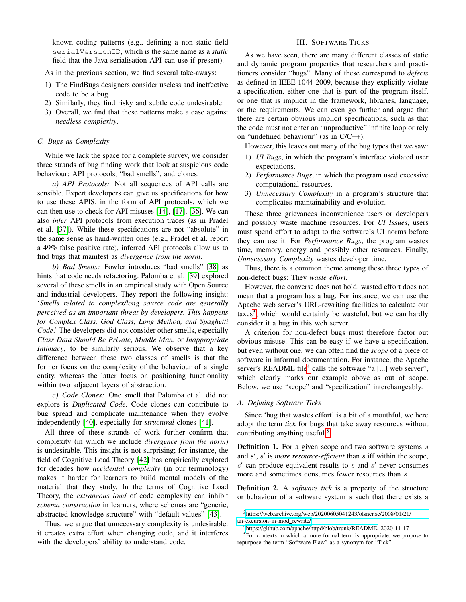known coding patterns (e.g., defining a non-static field serialVersionID, which is the same name as a *static* field that the Java serialisation API can use if present).

As in the previous section, we find several take-aways:

- 1) The FindBugs designers consider useless and ineffective code to be a bug.
- 2) Similarly, they find risky and subtle code undesirable.
- 3) Overall, we find that these patterns make a case against *needless complexity*.

# <span id="page-2-4"></span>*C. Bugs as Complexity*

While we lack the space for a complete survey, we consider three strands of bug finding work that look at suspicious code behaviour: API protocols, "bad smells", and clones.

*a) API Protocols:* Not all sequences of API calls are sensible. Expert developers can give us specifications for how to use these APIS, in the form of API protocols, which we can then use to check for API misuses [\[14\]](#page-4-24), [\[17\]](#page-4-5), [\[36\]](#page-4-25). We can also *infer* API protocols from execution traces (as in Pradel et al. [\[37\]](#page-4-26)). While these specifications are not "absolute" in the same sense as hand-written ones (e.g., Pradel et al. report a 49% false positive rate), inferred API protocols allow us to find bugs that manifest as *divergence from the norm*.

*b) Bad Smells:* Fowler introduces "bad smells" [\[38\]](#page-4-27) as hints that code needs refactoring. Palomba et al. [\[39\]](#page-4-28) explored several of these smells in an empirical study with Open Source and industrial developers. They report the following insight: '*Smells related to complex/long source code are generally perceived as an important threat by developers. This happens for Complex Class, God Class, Long Method, and Spaghetti Code*.' The developers did not consider other smells, especially *Class Data Should Be Private*, *Middle Man*, or *Inappropriate Intimacy*, to be similarly serious. We observe that a key difference between these two classes of smells is that the former focus on the complexity of the behaviour of a single entity, whereas the latter focus on positioning functionality within two adjacent layers of abstraction.

*c) Code Clones:* One smell that Palomba et al. did not explore is *Duplicated Code*. Code clones can contribute to bug spread and complicate maintenance when they evolve independently [\[40\]](#page-4-29), especially for *structural* clones [\[41\]](#page-4-30).

All three of these strands of work further confirm that complexity (in which we include *divergence from the norm*) is undesirable. This insight is not surprising; for instance, the field of Cognitive Load Theory [\[42\]](#page-4-31) has empirically explored for decades how *accidental complexity* (in our terminology) makes it harder for learners to build mental models of the material that they study. In the terms of Cognitive Load Theory, the *extraneous load* of code complexity can inhibit *schema construction* in learners, where schemas are "generic, abstracted knowledge structure" with "default values" [\[43\]](#page-4-32).

Thus, we argue that unnecessary complexity is undesirable: it creates extra effort when changing code, and it interferes with the developers' ability to understand code.

# III. SOFTWARE TICKS

<span id="page-2-0"></span>As we have seen, there are many different classes of static and dynamic program properties that researchers and practitioners consider "bugs". Many of these correspond to *defects* as defined in IEEE 1044-2009, because they explicitly violate a specification, either one that is part of the program itself, or one that is implicit in the framework, libraries, language, or the requirements. We can even go further and argue that there are certain obvious implicit specifications, such as that the code must not enter an "unproductive" infinite loop or rely on "undefined behaviour" (as in C/C++).

However, this leaves out many of the bug types that we saw:

- 1) *UI Bugs*, in which the program's interface violated user expectations,
- 2) *Performance Bugs*, in which the program used excessive computational resources,
- 3) *Unnecessary Complexity* in a program's structure that complicates maintainability and evolution.

These three grievances inconvenience users or developers and possibly waste machine resources. For *UI Issues*, users must spend effort to adapt to the software's UI norms before they can use it. For *Performance Bugs*, the program wastes time, memory, energy and possibly other resources. Finally, *Unnecessary Complexity* wastes developer time.

Thus, there is a common theme among these three types of non-defect bugs: They *waste effort*.

However, the converse does not hold: wasted effort does not mean that a program has a bug. For instance, we can use the Apache web server's URL-rewriting facilities to calculate our taxes<sup>[3](#page-2-1)</sup>, which would certainly be wasteful, but we can hardly consider it a bug in this web server.

A criterion for non-defect bugs must therefore factor out obvious misuse. This can be easy if we have a specification, but even without one, we can often find the *scope* of a piece of software in informal documentation. For instance, the Apache server's README file<sup>[4](#page-2-2)</sup> calls the software "a [...] web server", which clearly marks our example above as out of scope. Below, we use "scope" and "specification" interchangeably.

#### *A. Defining Software Ticks*

Since 'bug that wastes effort' is a bit of a mouthful, we here adopt the term *tick* for bugs that take away resources without contributing anything useful.<sup>[5](#page-2-3)</sup>

**Definition 1.** For a given scope and two software systems  $s$ and  $s'$ ,  $s'$  is *more resource-efficient* than  $s$  iff within the scope,  $s'$  can produce equivalent results to  $s$  and  $s'$  never consumes more and sometimes consumes fewer resources than s.

Definition 2. A *software tick* is a property of the structure or behaviour of a software system  $s$  such that there exists a

<span id="page-2-1"></span><sup>3</sup>[https://web.archive.org/web/20200605041243/olsner.se/2008/01/21/](https://web.archive.org/web/20200605041243/olsner.se/2008/01/21/an-excursion-in-mod_rewrite/) [an-excursion-in-mod](https://web.archive.org/web/20200605041243/olsner.se/2008/01/21/an-excursion-in-mod_rewrite/)\_rewrite/

<span id="page-2-3"></span><span id="page-2-2"></span><sup>4</sup>[https://github.com/apache/httpd/blob/trunk/README,](https://github.com/apache/httpd/blob/trunk/README) 2020-11-17

<sup>&</sup>lt;sup>5</sup>For contexts in which a more formal term is appropriate, we propose to repurpose the term "Software Flaw" as a synonym for "Tick".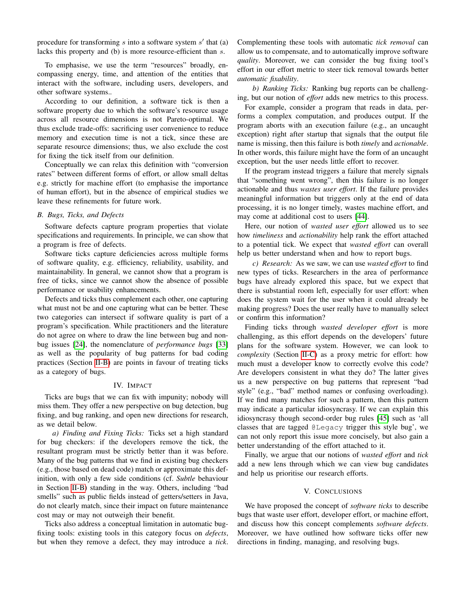procedure for transforming  $s$  into a software system  $s'$  that (a) lacks this property and (b) is more resource-efficient than s.

To emphasise, we use the term "resources" broadly, encompassing energy, time, and attention of the entities that interact with the software, including users, developers, and other software systems..

According to our definition, a software tick is then a software property due to which the software's resource usage across all resource dimensions is not Pareto-optimal. We thus exclude trade-offs: sacrificing user convenience to reduce memory and execution time is not a tick, since these are separate resource dimensions; thus, we also exclude the cost for fixing the tick itself from our definition.

Conceptually we can relax this definition with "conversion rates" between different forms of effort, or allow small deltas e.g. strictly for machine effort (to emphasise the importance of human effort), but in the absence of empirical studies we leave these refinements for future work.

# *B. Bugs, Ticks, and Defects*

Software defects capture program properties that violate specifications and requirements. In principle, we can show that a program is free of defects.

Software ticks capture deficiencies across multiple forms of software quality, e.g. efficiency, reliability, usability, and maintainability. In general, we cannot show that a program is free of ticks, since we cannot show the absence of possible performance or usability enhancements.

Defects and ticks thus complement each other, one capturing what must not be and one capturing what can be better. These two categories can intersect if software quality is part of a program's specification. While practitioners and the literature do not agree on where to draw the line between bug and nonbug issues [\[24\]](#page-4-12), the nomenclature of *performance bugs* [\[33\]](#page-4-21) as well as the popularity of bug patterns for bad coding practices (Section [II-B\)](#page-1-2) are points in favour of treating ticks as a category of bugs.

# IV. IMPACT

<span id="page-3-0"></span>Ticks are bugs that we can fix with impunity; nobody will miss them. They offer a new perspective on bug detection, bug fixing, and bug ranking, and open new directions for research, as we detail below.

*a) Finding and Fixing Ticks:* Ticks set a high standard for bug checkers: if the developers remove the tick, the resultant program must be strictly better than it was before. Many of the bug patterns that we find in existing bug checkers (e.g., those based on dead code) match or approximate this definition, with only a few side conditions (cf. *Subtle* behaviour in Section [II-B\)](#page-1-2) standing in the way. Others, including "bad smells" such as public fields instead of getters/setters in Java, do not clearly match, since their impact on future maintenance cost may or may not outweigh their benefit.

Ticks also address a conceptual limitation in automatic bugfixing tools: existing tools in this category focus on *defects*, but when they remove a defect, they may introduce a *tick*. Complementing these tools with automatic *tick removal* can allow us to compensate, and to automatically improve software *quality*. Moreover, we can consider the bug fixing tool's effort in our effort metric to steer tick removal towards better *automatic fixability*.

*b) Ranking Ticks:* Ranking bug reports can be challenging, but our notion of *effort* adds new metrics to this process.

For example, consider a program that reads in data, performs a complex computation, and produces output. If the program aborts with an execution failure (e.g., an uncaught exception) right after startup that signals that the output file name is missing, then this failure is both *timely* and *actionable*. In other words, this failure might have the form of an uncaught exception, but the user needs little effort to recover.

If the program instead triggers a failure that merely signals that "something went wrong", then this failure is no longer actionable and thus *wastes user effort*. If the failure provides meaningful information but triggers only at the end of data processing, it is no longer timely, wastes machine effort, and may come at additional cost to users [\[44\]](#page-4-33).

Here, our notion of *wasted user effort* allowed us to see how *timeliness* and *actionability* help rank the effort attached to a potential tick. We expect that *wasted effort* can overall help us better understand when and how to report bugs.

*c) Research:* As we saw, we can use *wasted effort* to find new types of ticks. Researchers in the area of performance bugs have already explored this space, but we expect that there is substantial room left, especially for user effort: when does the system wait for the user when it could already be making progress? Does the user really have to manually select or confirm this information?

Finding ticks through *wasted developer effort* is more challenging, as this effort depends on the developers' future plans for the software system. However, we can look to *complexity* (Section [II-C\)](#page-2-4) as a proxy metric for effort: how much must a developer know to correctly evolve this code? Are developers consistent in what they do? The latter gives us a new perspective on bug patterns that represent "bad style" (e.g., "bad" method names or confusing overloading). If we find many matches for such a pattern, then this pattern may indicate a particular idiosyncrasy. If we can explain this idiosyncrasy though second-order bug rules [\[45\]](#page-4-34) such as 'all classes that are tagged @Legacy trigger this style bug', we can not only report this issue more concisely, but also gain a better understanding of the effort attached to it.

Finally, we argue that our notions of *wasted effort* and *tick* add a new lens through which we can view bug candidates and help us prioritise our research efforts.

#### V. CONCLUSIONS

We have proposed the concept of *software ticks* to describe bugs that waste user effort, developer effort, or machine effort, and discuss how this concept complements *software defects*. Moreover, we have outlined how software ticks offer new directions in finding, managing, and resolving bugs.